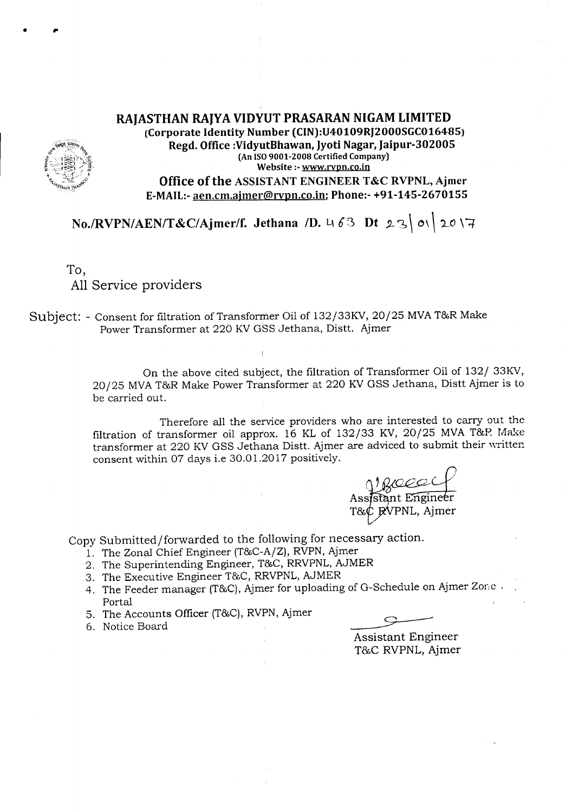## RAJASTHAN RAJYA VIDYUT PRASARAN NIGAM LIMITED (Corporate Identity Number (CIN):U40109RJ2000SGC016485) Regd. Office :VidyutBhawan, Jyoti Nagar, Jaipur-302005 (An ISO9001-2008 Certified Company) Website :-www.rvpn.co.in Office of the ASSISTANT ENGINEER T&C RVPNL, Ajmer E-MAIL:-aen.cm.ajmer@rvpn.co.in; Phone:- +91-145-2670155

*No./RVPN/AEN/T&C/Ajmer/f.* Jethana */D.* 463 Dt 23 0\ 20\7

To, All Service providers

· ,.

Subject: - Consent for filtration of Transformer Oil of 132/33KV, 20/25 MVAT&RMake Power Transformer at 220 KVGSS Jethana, Distt. Ajmer

> On the above cited subject, the filtration of Transformer Oil of 132/ 33KV, 20/25 MVAT&R Make Power Transformer at 220 KVGSS Jethana, Distt Ajmer is to be carried out.

> Therefore all the service providers who are interested to carry out the filtration of transformer oil approx.  $16$  KL of 132/33 KV, 20/25 MVA T&R Make transformer at 220 KV GSS Jethana Distt. Ajmer are adviced to submit their written. consent within 07 days i.e 30.01.2017 positively.

Assistant Engineer T&¢ RVPNL, Ajmer

Copy Submitted/forwarded to the following for necessary action.

- 1. The Zonal Chief Engineer (T&C-A/Z), RVPN, Ajmer
- 2. The Superintending Engineer, T&C, RRVPNL, AJMER
- 3. The Executive Engineer T&C, RRVPNL, AJMER
- 4. The Feeder manager (T&C), Ajmer for uploading of G-Schedule on Ajmer Zone, Portal
- 5. The Accounts Officer (T&C), RVPN, Ajmer
- 6. Notice Board

Assistant Engineer T&C RVPNL, Ajmer